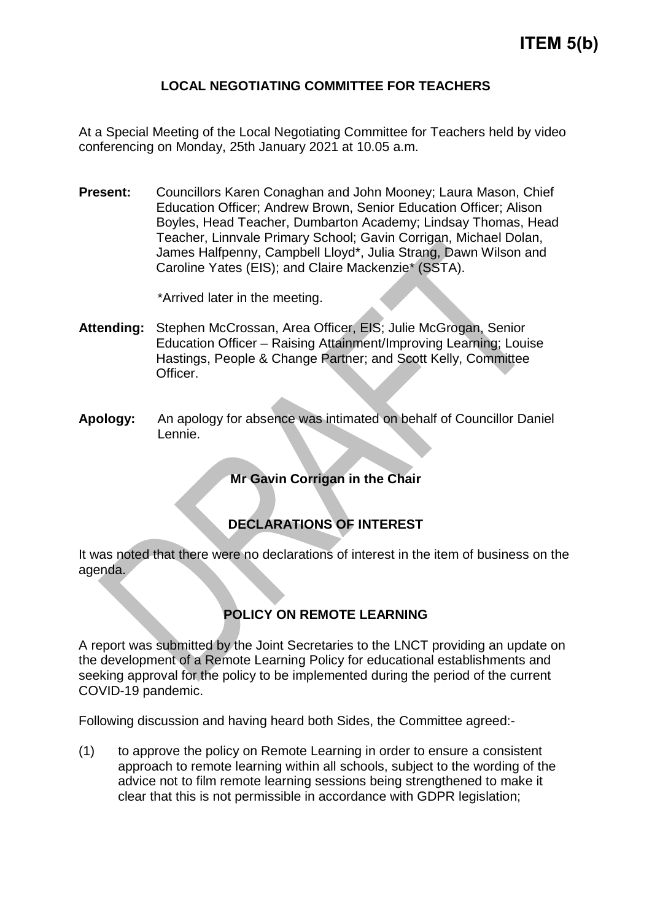## **LOCAL NEGOTIATING COMMITTEE FOR TEACHERS**

At a Special Meeting of the Local Negotiating Committee for Teachers held by video conferencing on Monday, 25th January 2021 at 10.05 a.m.

**Present:** Councillors Karen Conaghan and John Mooney; Laura Mason, Chief Education Officer; Andrew Brown, Senior Education Officer; Alison Boyles, Head Teacher, Dumbarton Academy; Lindsay Thomas, Head Teacher, Linnvale Primary School; Gavin Corrigan, Michael Dolan, James Halfpenny, Campbell Lloyd\*, Julia Strang, Dawn Wilson and Caroline Yates (EIS); and Claire Mackenzie\* (SSTA).

\*Arrived later in the meeting.

- **Attending:** Stephen McCrossan, Area Officer, EIS; Julie McGrogan, Senior Education Officer – Raising Attainment/Improving Learning; Louise Hastings, People & Change Partner; and Scott Kelly, Committee Officer.
- **Apology:** An apology for absence was intimated on behalf of Councillor Daniel Lennie.

**Mr Gavin Corrigan in the Chair**

## **DECLARATIONS OF INTEREST**

It was noted that there were no declarations of interest in the item of business on the agenda.

## **POLICY ON REMOTE LEARNING**

A report was submitted by the Joint Secretaries to the LNCT providing an update on the development of a Remote Learning Policy for educational establishments and seeking approval for the policy to be implemented during the period of the current COVID-19 pandemic.

Following discussion and having heard both Sides, the Committee agreed:-

(1) to approve the policy on Remote Learning in order to ensure a consistent approach to remote learning within all schools, subject to the wording of the advice not to film remote learning sessions being strengthened to make it clear that this is not permissible in accordance with GDPR legislation;